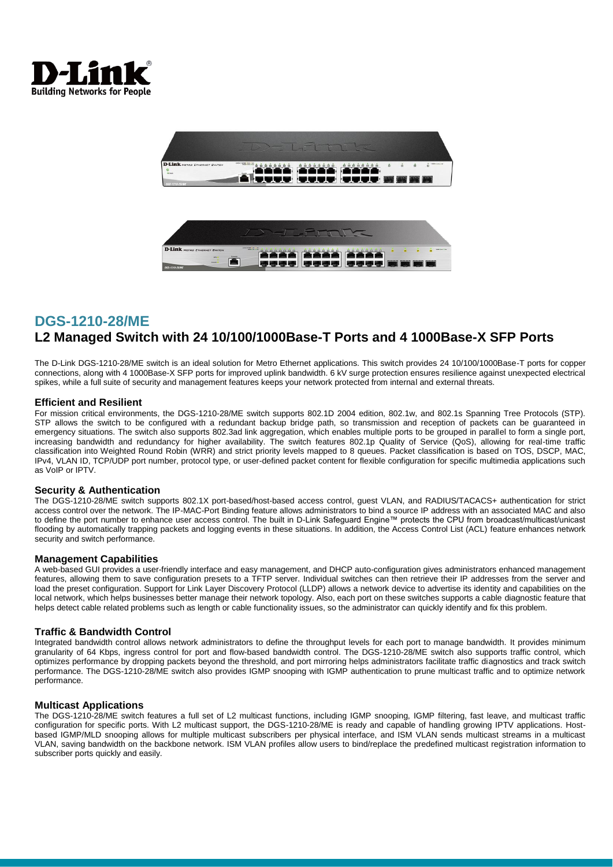



The D-Link DGS-1210-28/ME switch is an ideal solution for Metro Ethernet applications. This switch provides 24 10/100/1000Base-T ports for copper connections, along with 4 1000Base-X SFP ports for improved uplink bandwidth. 6 kV surge protection ensures resilience against unexpected electrical spikes, while a full suite of security and management features keeps your network protected from internal and external threats.

### **Efficient and Resilient**

For mission critical environments, the DGS-1210-28/ME switch supports 802.1D 2004 edition, 802.1w, and 802.1s Spanning Tree Protocols (STP). STP allows the switch to be configured with a redundant backup bridge path, so transmission and reception of packets can be guaranteed in emergency situations. The switch also supports 802.3ad link aggregation, which enables multiple ports to be grouped in parallel to form a single port, increasing bandwidth and redundancy for higher availability. The switch features 802.1p Quality of Service (QoS), allowing for real-time traffic classification into Weighted Round Robin (WRR) and strict priority levels mapped to 8 queues. Packet classification is based on TOS, DSCP, MAC, IPv4, VLAN ID, TCP/UDP port number, protocol type, or user-defined packet content for flexible configuration for specific multimedia applications such as VoIP or IPTV.

### **Security & Authentication**

The DGS-1210-28/ME switch supports 802.1X port-based/host-based access control, guest VLAN, and RADIUS/TACACS+ authentication for strict access control over the network. The IP-MAC-Port Binding feature allows administrators to bind a source IP address with an associated MAC and also to define the port number to enhance user access control. The built in D-Link Safeguard Engine™ protects the CPU from broadcast/multicast/unicast flooding by automatically trapping packets and logging events in these situations. In addition, the Access Control List (ACL) feature enhances network security and switch performance.

### **Management Capabilities**

A web-based GUI provides a user-friendly interface and easy management, and DHCP auto-configuration gives administrators enhanced management features, allowing them to save configuration presets to a TFTP server. Individual switches can then retrieve their IP addresses from the server and load the preset configuration. Support for Link Layer Discovery Protocol (LLDP) allows a network device to advertise its identity and capabilities on the local network, which helps businesses better manage their network topology. Also, each port on these switches supports a cable diagnostic feature that helps detect cable related problems such as length or cable functionality issues, so the administrator can quickly identify and fix this problem.

### **Traffic & Bandwidth Control**

Integrated bandwidth control allows network administrators to define the throughput levels for each port to manage bandwidth. It provides minimum granularity of 64 Kbps, ingress control for port and flow-based bandwidth control. The DGS-1210-28/ME switch also supports traffic control, which optimizes performance by dropping packets beyond the threshold, and port mirroring helps administrators facilitate traffic diagnostics and track switch performance. The DGS-1210-28/ME switch also provides IGMP snooping with IGMP authentication to prune multicast traffic and to optimize network .<br>nerformance.

### **Multicast Applications**

The DGS-1210-28/ME switch features a full set of L2 multicast functions, including IGMP snooping, IGMP filtering, fast leave, and multicast traffic configuration for specific ports. With L2 multicast support, the DGS-1210-28/ME is ready and capable of handling growing IPTV applications. Hostbased IGMP/MLD snooping allows for multiple multicast subscribers per physical interface, and ISM VLAN sends multicast streams in a multicast VLAN, saving bandwidth on the backbone network. ISM VLAN profiles allow users to bind/replace the predefined multicast registration information to subscriber ports quickly and easily.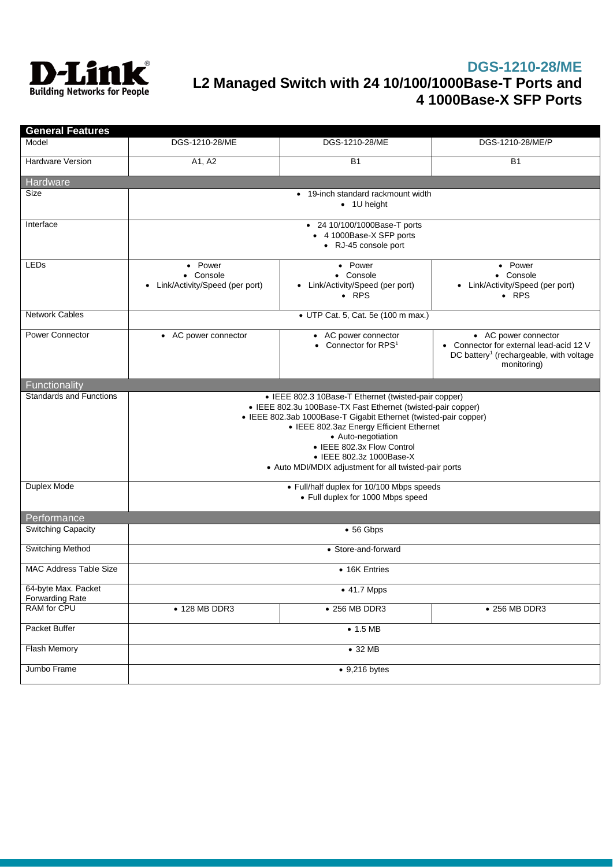

| <b>General Features</b>                       |                                                                                                                                                                                                                                                                                                                                                                               |                                                                         |                                                                                                                                       |
|-----------------------------------------------|-------------------------------------------------------------------------------------------------------------------------------------------------------------------------------------------------------------------------------------------------------------------------------------------------------------------------------------------------------------------------------|-------------------------------------------------------------------------|---------------------------------------------------------------------------------------------------------------------------------------|
| Model                                         | DGS-1210-28/ME                                                                                                                                                                                                                                                                                                                                                                | DGS-1210-28/ME                                                          | DGS-1210-28/ME/P                                                                                                                      |
| <b>Hardware Version</b>                       | A1, A2                                                                                                                                                                                                                                                                                                                                                                        | <b>B1</b>                                                               | <b>B1</b>                                                                                                                             |
| Hardware                                      |                                                                                                                                                                                                                                                                                                                                                                               |                                                                         |                                                                                                                                       |
| Size                                          | • 19-inch standard rackmount width<br>$\bullet$ 1U height                                                                                                                                                                                                                                                                                                                     |                                                                         |                                                                                                                                       |
| Interface                                     | • 24 10/100/1000Base-T ports<br>• 4 1000Base-X SFP ports<br>• RJ-45 console port                                                                                                                                                                                                                                                                                              |                                                                         |                                                                                                                                       |
| <b>LEDs</b>                                   | • Power<br>• Console<br>Link/Activity/Speed (per port)<br>٠                                                                                                                                                                                                                                                                                                                   | • Power<br>• Console<br>• Link/Activity/Speed (per port)<br>$\cdot$ RPS | • Power<br>• Console<br>• Link/Activity/Speed (per port)<br>$\bullet$ RPS                                                             |
| <b>Network Cables</b>                         | • UTP Cat. 5, Cat. 5e (100 m max.)                                                                                                                                                                                                                                                                                                                                            |                                                                         |                                                                                                                                       |
| <b>Power Connector</b>                        | • AC power connector                                                                                                                                                                                                                                                                                                                                                          | • AC power connector<br>• Connector for $RPS1$                          | • AC power connector<br>• Connector for external lead-acid 12 V<br>DC battery <sup>1</sup> (rechargeable, with voltage<br>monitoring) |
| Functionality                                 |                                                                                                                                                                                                                                                                                                                                                                               |                                                                         |                                                                                                                                       |
| <b>Standards and Functions</b>                | • IEEE 802.3 10Base-T Ethernet (twisted-pair copper)<br>• IEEE 802.3u 100Base-TX Fast Ethernet (twisted-pair copper)<br>• IEEE 802.3ab 1000Base-T Gigabit Ethernet (twisted-pair copper)<br>• IEEE 802.3az Energy Efficient Ethernet<br>• Auto-negotiation<br>• IEEE 802.3x Flow Control<br>• IEEE 802.3z 1000Base-X<br>• Auto MDI/MDIX adjustment for all twisted-pair ports |                                                                         |                                                                                                                                       |
| Duplex Mode                                   | • Full/half duplex for 10/100 Mbps speeds<br>• Full duplex for 1000 Mbps speed                                                                                                                                                                                                                                                                                                |                                                                         |                                                                                                                                       |
| Performance                                   |                                                                                                                                                                                                                                                                                                                                                                               |                                                                         |                                                                                                                                       |
| <b>Switching Capacity</b>                     |                                                                                                                                                                                                                                                                                                                                                                               | • 56 Gbps                                                               |                                                                                                                                       |
| Switching Method                              | • Store-and-forward                                                                                                                                                                                                                                                                                                                                                           |                                                                         |                                                                                                                                       |
| <b>MAC Address Table Size</b>                 | • 16K Entries                                                                                                                                                                                                                                                                                                                                                                 |                                                                         |                                                                                                                                       |
| 64-byte Max. Packet<br><b>Forwarding Rate</b> | • 41.7 Mpps                                                                                                                                                                                                                                                                                                                                                                   |                                                                         |                                                                                                                                       |
| RAM for CPU                                   | • 128 MB DDR3                                                                                                                                                                                                                                                                                                                                                                 | • 256 MB DDR3                                                           | • 256 MB DDR3                                                                                                                         |
| Packet Buffer                                 |                                                                                                                                                                                                                                                                                                                                                                               | $\bullet$ 1.5 MB                                                        |                                                                                                                                       |
| Flash Memory                                  | • 32 MB                                                                                                                                                                                                                                                                                                                                                                       |                                                                         |                                                                                                                                       |
| Jumbo Frame                                   | $\bullet$ 9,216 bytes                                                                                                                                                                                                                                                                                                                                                         |                                                                         |                                                                                                                                       |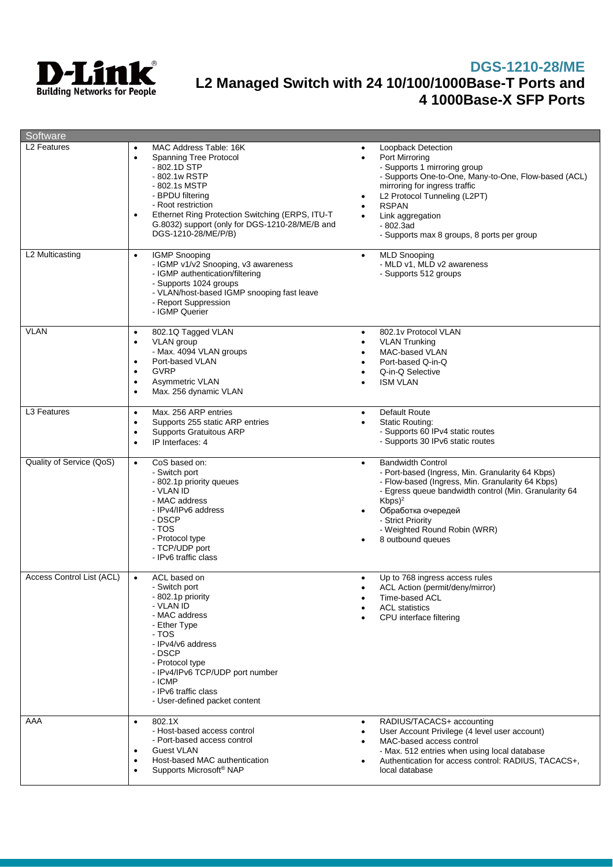

| Software                       |                                                                                                                                                                                                                                                                                                                                  |                                                                                                                                                                                                                                                                                                                                   |
|--------------------------------|----------------------------------------------------------------------------------------------------------------------------------------------------------------------------------------------------------------------------------------------------------------------------------------------------------------------------------|-----------------------------------------------------------------------------------------------------------------------------------------------------------------------------------------------------------------------------------------------------------------------------------------------------------------------------------|
| L2 Features<br>L2 Multicasting | MAC Address Table: 16K<br>٠<br>Spanning Tree Protocol<br>$\bullet$<br>- 802.1D STP<br>- 802.1w RSTP<br>- 802.1s MSTP<br>- BPDU filtering<br>- Root restriction<br>Ethernet Ring Protection Switching (ERPS, ITU-T)<br>G.8032) support (only for DGS-1210-28/ME/B and<br>DGS-1210-28/ME/P/B)<br><b>IGMP Snooping</b><br>$\bullet$ | Loopback Detection<br>Port Mirrorina<br>- Supports 1 mirroring group<br>- Supports One-to-One, Many-to-One, Flow-based (ACL)<br>mirroring for ingress traffic<br>L2 Protocol Tunneling (L2PT)<br><b>RSPAN</b><br>Link aggregation<br>$-802.3ad$<br>- Supports max 8 groups, 8 ports per group<br><b>MLD Snooping</b><br>$\bullet$ |
|                                | - IGMP v1/v2 Snooping, v3 awareness<br>- IGMP authentication/filtering<br>- Supports 1024 groups<br>- VLAN/host-based IGMP snooping fast leave<br>- Report Suppression<br>- IGMP Querier                                                                                                                                         | - MLD v1, MLD v2 awareness<br>- Supports 512 groups                                                                                                                                                                                                                                                                               |
| <b>VLAN</b>                    | 802.1Q Tagged VLAN<br>$\bullet$<br>VLAN group<br>$\bullet$<br>- Max. 4094 VLAN groups<br>Port-based VLAN<br>$\bullet$<br><b>GVRP</b><br>$\bullet$<br>Asymmetric VLAN<br>$\bullet$<br>Max. 256 dynamic VLAN<br>$\bullet$                                                                                                          | 802.1v Protocol VLAN<br>$\bullet$<br><b>VLAN Trunking</b><br>MAC-based VLAN<br>Port-based Q-in-Q<br>Q-in-Q Selective<br><b>ISM VLAN</b>                                                                                                                                                                                           |
| L <sub>3</sub> Features        | Max. 256 ARP entries<br>$\bullet$<br>Supports 255 static ARP entries<br>$\bullet$<br><b>Supports Gratuitous ARP</b><br>$\bullet$<br>IP Interfaces: 4<br>$\bullet$                                                                                                                                                                | <b>Default Route</b><br>$\bullet$<br><b>Static Routing:</b><br>$\bullet$<br>- Supports 60 IPv4 static routes<br>- Supports 30 IPv6 static routes                                                                                                                                                                                  |
| Quality of Service (QoS)       | CoS based on:<br>$\bullet$<br>- Switch port<br>- 802.1p priority queues<br>- VLAN ID<br>- MAC address<br>- IPv4/IPv6 address<br>- DSCP<br>- TOS<br>- Protocol type<br>- TCP/UDP port<br>- IPv6 traffic class                                                                                                                     | <b>Bandwidth Control</b><br>$\bullet$<br>- Port-based (Ingress, Min. Granularity 64 Kbps)<br>- Flow-based (Ingress, Min. Granularity 64 Kbps)<br>- Egress queue bandwidth control (Min. Granularity 64<br>$Kbps)^2$<br>Обработка очередей<br>- Strict Priority<br>- Weighted Round Robin (WRR)<br>8 outbound queues               |
| Access Control List (ACL)      | $\bullet$<br>ACL based on<br>- Switch port<br>- 802.1p priority<br>- VLAN ID<br>- MAC address<br>- Ether Type<br>- TOS<br>- IPv4/v6 address<br>- DSCP<br>- Protocol type<br>- IPv4/IPv6 TCP/UDP port number<br>- ICMP<br>- IPv6 traffic class<br>- User-defined packet content                                                   | Up to 768 ingress access rules<br>٠<br>ACL Action (permit/deny/mirror)<br>Time-based ACL<br><b>ACL</b> statistics<br>CPU interface filtering                                                                                                                                                                                      |
| AAA                            | 802.1X<br>$\bullet$<br>- Host-based access control<br>- Port-based access control<br>Guest VLAN<br>$\bullet$<br>Host-based MAC authentication<br>$\bullet$<br>Supports Microsoft <sup>®</sup> NAP<br>$\bullet$                                                                                                                   | RADIUS/TACACS+ accounting<br>٠<br>User Account Privilege (4 level user account)<br>MAC-based access control<br>- Max. 512 entries when using local database<br>Authentication for access control: RADIUS, TACACS+,<br>local database                                                                                              |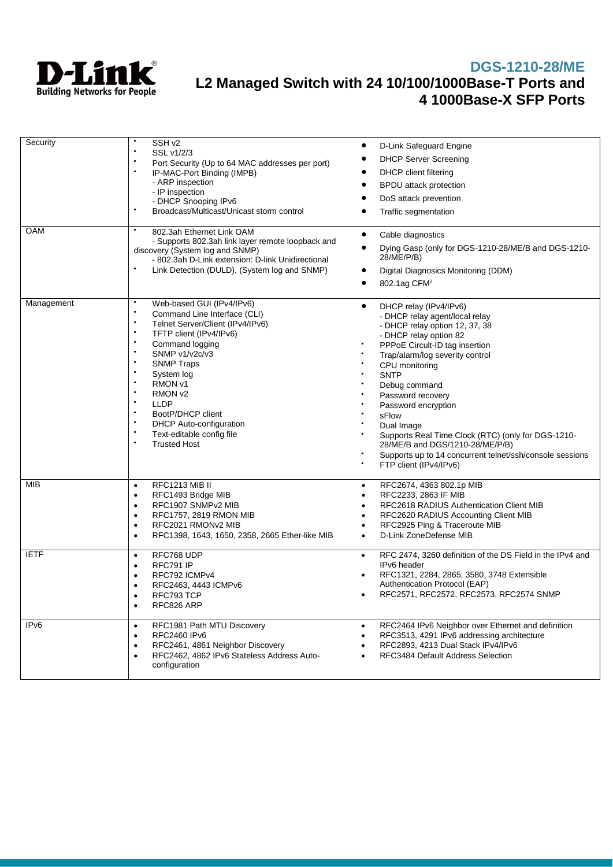

| Security         | SSH <sub>v2</sub><br>$\bullet$<br>SSL v1/2/3<br>$\bullet$<br>Port Security (Up to 64 MAC addresses per port)<br>IP-MAC-Port Binding (IMPB)<br>- ARP inspection<br>- IP inspection<br>- DHCP Snooping IPv6<br>Broadcast/Multicast/Unicast storm control                                                                                                                                                 | D-Link Safeguard Engine<br><b>DHCP Server Screening</b><br>DHCP client filtering<br><b>BPDU</b> attack protection<br>DoS attack prevention<br>Traffic segmentation                                                                                                                                                                                                                                                                                                                                      |
|------------------|--------------------------------------------------------------------------------------------------------------------------------------------------------------------------------------------------------------------------------------------------------------------------------------------------------------------------------------------------------------------------------------------------------|---------------------------------------------------------------------------------------------------------------------------------------------------------------------------------------------------------------------------------------------------------------------------------------------------------------------------------------------------------------------------------------------------------------------------------------------------------------------------------------------------------|
| <b>OAM</b>       | 802.3ah Ethernet Link OAM<br>- Supports 802.3ah link layer remote loopback and<br>discovery (System log and SNMP)<br>- 802.3ah D-Link extension: D-link Unidirectional<br>Link Detection (DULD), (System log and SNMP)                                                                                                                                                                                 | Cable diagnostics<br>٠<br>$\bullet$<br>Dying Gasp (only for DGS-1210-28/ME/B and DGS-1210-<br>28/ME/P/B)<br>Digital Diagnosics Monitoring (DDM)<br>802.1ag CFM <sup>2</sup><br>$\bullet$                                                                                                                                                                                                                                                                                                                |
| Management       | Web-based GUI (IPv4/IPv6)<br>Command Line Interface (CLI)<br>$\bullet$<br>Telnet Server/Client (IPv4/IPv6)<br>$\bullet$<br>TFTP client (IPv4/IPv6)<br>Command logging<br>SNMP v1/v2c/v3<br><b>SNMP Traps</b><br>System log<br>RMON <sub>V1</sub><br>RMON <sub>V2</sub><br>LLDP<br>$\bullet$<br>BootP/DHCP client<br><b>DHCP</b> Auto-configuration<br>Text-editable config file<br><b>Trusted Host</b> | DHCP relay (IPv4/IPv6)<br>٠<br>- DHCP relay agent/local relay<br>- DHCP relay option 12, 37, 38<br>- DHCP relay option 82<br>PPPoE Circult-ID tag insertion<br>Trap/alarm/log severity control<br>CPU monitoring<br><b>SNTP</b><br>Debug command<br>Password recovery<br>Password encryption<br>sFlow<br>Dual Image<br>Supports Real Time Clock (RTC) (only for DGS-1210-<br>28/ME/B and DGS/1210-28/ME/P/B)<br>Supports up to 14 concurrent telnet/ssh/console sessions<br>٠<br>FTP client (IPv4/IPv6) |
| <b>MIB</b>       | RFC1213 MIB II<br>$\bullet$<br>RFC1493 Bridge MIB<br>$\bullet$<br>RFC1907 SNMPv2 MIB<br>$\bullet$<br>RFC1757, 2819 RMON MIB<br>٠<br>RFC2021 RMON <sub>v2</sub> MIB<br>$\bullet$<br>RFC1398, 1643, 1650, 2358, 2665 Ether-like MIB<br>$\bullet$                                                                                                                                                         | RFC2674, 4363 802.1p MIB<br>٠<br>RFC2233, 2863 IF MIB<br>RFC2618 RADIUS Authentication Client MIB<br>RFC2620 RADIUS Accounting Client MIB<br>RFC2925 Ping & Traceroute MIB<br>D-Link ZoneDefense MIB<br>٠                                                                                                                                                                                                                                                                                               |
| <b>IETF</b>      | RFC768 UDP<br>$\bullet$<br>RFC791 IP<br>$\bullet$<br>RFC792 ICMPv4<br>$\bullet$<br>RFC2463, 4443 ICMPv6<br>$\bullet$<br>RFC793 TCP<br>RFC826 ARP<br>$\bullet$                                                                                                                                                                                                                                          | RFC 2474, 3260 definition of the DS Field in the IPv4 and<br>٠<br>IPv6 header<br>RFC1321, 2284, 2865, 3580, 3748 Extensible<br>Authentication Protocol (EAP)<br>RFC2571, RFC2572, RFC2573, RFC2574 SNMP                                                                                                                                                                                                                                                                                                 |
| IP <sub>v6</sub> | RFC1981 Path MTU Discovery<br>$\bullet$<br>RFC2460 IPv6<br>$\bullet$<br>RFC2461, 4861 Neighbor Discovery<br>$\bullet$<br>RFC2462, 4862 IPv6 Stateless Address Auto-<br>$\bullet$<br>configuration                                                                                                                                                                                                      | RFC2464 IPv6 Neighbor over Ethernet and definition<br>$\bullet$<br>RFC3513, 4291 IPv6 addressing architecture<br>RFC2893, 4213 Dual Stack IPv4/IPv6<br>RFC3484 Default Address Selection                                                                                                                                                                                                                                                                                                                |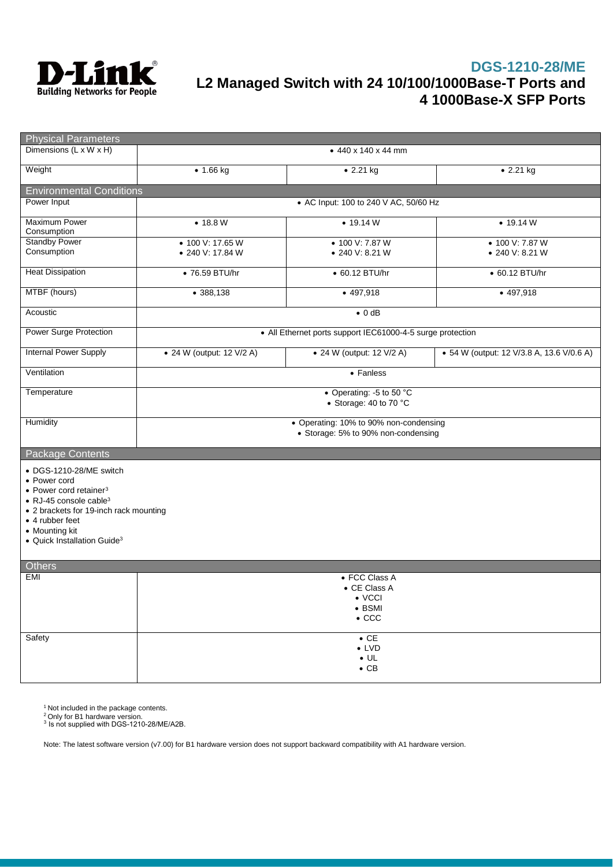

| <b>Physical Parameters</b>                                                            |                                                                               |                                                            |                                           |
|---------------------------------------------------------------------------------------|-------------------------------------------------------------------------------|------------------------------------------------------------|-------------------------------------------|
| Dimensions (L x W x H)                                                                |                                                                               | $\bullet$ 440 x 140 x 44 mm                                |                                           |
| Weight                                                                                | • 1.66 kg                                                                     | • 2.21 kg                                                  | • 2.21 kg                                 |
| <b>Environmental Conditions</b>                                                       |                                                                               |                                                            |                                           |
| Power Input                                                                           | • AC Input: 100 to 240 V AC, 50/60 Hz                                         |                                                            |                                           |
| <b>Maximum Power</b><br>Consumption                                                   | • 18.8 W                                                                      | • 19.14 W                                                  | • 19.14 W                                 |
| <b>Standby Power</b>                                                                  | • 100 V: 17.65 W                                                              | • 100 V: 7.87 W                                            | • 100 V: 7.87 W                           |
| Consumption                                                                           | • 240 V: 17.84 W                                                              | • 240 V: 8.21 W                                            | • 240 V: 8.21 W                           |
| <b>Heat Dissipation</b>                                                               | • 76.59 BTU/hr                                                                | • 60.12 BTU/hr                                             | • 60.12 BTU/hr                            |
| MTBF (hours)                                                                          | • 388,138                                                                     | $-497,918$                                                 | $-497,918$                                |
| Acoustic                                                                              |                                                                               | $\bullet$ 0 dB                                             |                                           |
| <b>Power Surge Protection</b>                                                         |                                                                               | • All Ethernet ports support IEC61000-4-5 surge protection |                                           |
| <b>Internal Power Supply</b>                                                          | • 24 W (output: 12 V/2 A)                                                     | • 24 W (output: 12 V/2 A)                                  | • 54 W (output: 12 V/3.8 A, 13.6 V/0.6 A) |
| Ventilation                                                                           |                                                                               | • Fanless                                                  |                                           |
| Temperature                                                                           |                                                                               | • Operating: -5 to 50 °C<br>• Storage: 40 to 70 °C         |                                           |
| Humidity                                                                              | • Operating: 10% to 90% non-condensing<br>• Storage: 5% to 90% non-condensing |                                                            |                                           |
| Package Contents                                                                      |                                                                               |                                                            |                                           |
| • DGS-1210-28/ME switch<br>• Power cord<br>$\bullet$ Power cord retainer <sup>3</sup> |                                                                               |                                                            |                                           |
| • RJ-45 console cable <sup>3</sup>                                                    |                                                                               |                                                            |                                           |
| • 2 brackets for 19-inch rack mounting<br>• 4 rubber feet                             |                                                                               |                                                            |                                           |
| • Mounting kit                                                                        |                                                                               |                                                            |                                           |
| • Quick Installation Guide <sup>3</sup>                                               |                                                                               |                                                            |                                           |
| <b>Others</b>                                                                         |                                                                               |                                                            |                                           |
| EMI                                                                                   |                                                                               | • FCC Class A                                              |                                           |
|                                                                                       |                                                                               | $\bullet$ CE Class A                                       |                                           |
|                                                                                       |                                                                               | $\bullet$ VCCI                                             |                                           |
|                                                                                       |                                                                               | $\bullet$ BSMI                                             |                                           |
|                                                                                       |                                                                               | $\bullet$ CCC                                              |                                           |
| Safety                                                                                |                                                                               | $\overline{CE}$                                            |                                           |
|                                                                                       |                                                                               | $\bullet$ LVD                                              |                                           |
|                                                                                       |                                                                               | $\bullet$ UL<br>$\bullet$ CB                               |                                           |
|                                                                                       |                                                                               |                                                            |                                           |

<sup>1</sup> Not included in the package contents.

 $^2$ Only for B1 hardware version.<br> $^3$  Is not supplied with DGS-1210-28/ME/A2B.

Note: The latest software version (v7.00) for B1 hardware version does not support backward compatibility with A1 hardware version.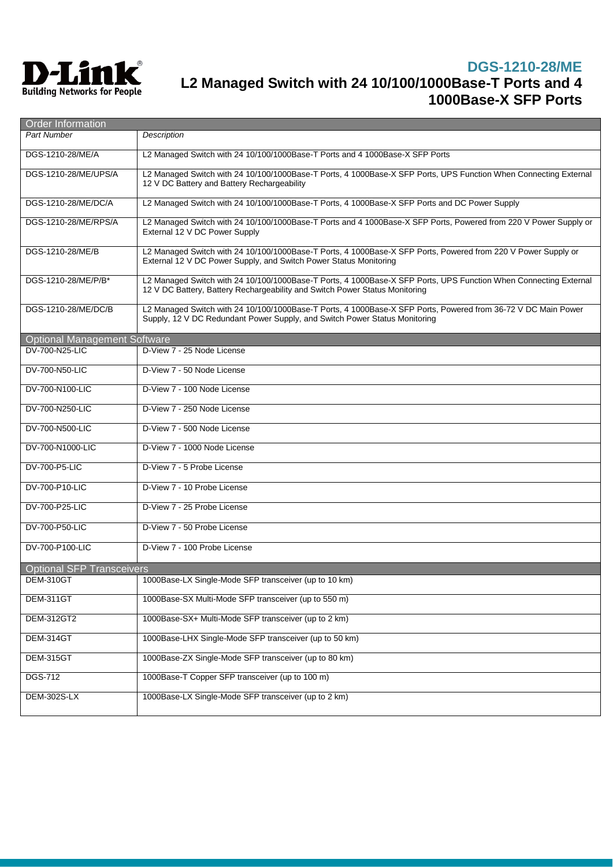

| Order Information                   |                                                                                                                                                                                                 |  |
|-------------------------------------|-------------------------------------------------------------------------------------------------------------------------------------------------------------------------------------------------|--|
| <b>Part Number</b>                  | Description                                                                                                                                                                                     |  |
| DGS-1210-28/ME/A                    | L2 Managed Switch with 24 10/100/1000Base-T Ports and 4 1000Base-X SFP Ports                                                                                                                    |  |
| DGS-1210-28/ME/UPS/A                | L2 Managed Switch with 24 10/100/1000Base-T Ports, 4 1000Base-X SFP Ports, UPS Function When Connecting External<br>12 V DC Battery and Battery Rechargeability                                 |  |
| DGS-1210-28/ME/DC/A                 | L2 Managed Switch with 24 10/100/1000Base-T Ports, 4 1000Base-X SFP Ports and DC Power Supply                                                                                                   |  |
| DGS-1210-28/ME/RPS/A                | L2 Managed Switch with 24 10/100/1000Base-T Ports and 4 1000Base-X SFP Ports, Powered from 220 V Power Supply or<br>External 12 V DC Power Supply                                               |  |
| DGS-1210-28/ME/B                    | L2 Managed Switch with 24 10/100/1000Base-T Ports, 4 1000Base-X SFP Ports, Powered from 220 V Power Supply or<br>External 12 V DC Power Supply, and Switch Power Status Monitoring              |  |
| DGS-1210-28/ME/P/B*                 | L2 Managed Switch with 24 10/100/1000Base-T Ports, 4 1000Base-X SFP Ports, UPS Function When Connecting External<br>12 V DC Battery, Battery Rechargeability and Switch Power Status Monitoring |  |
| DGS-1210-28/ME/DC/B                 | L2 Managed Switch with 24 10/100/1000Base-T Ports, 4 1000Base-X SFP Ports, Powered from 36-72 V DC Main Power<br>Supply, 12 V DC Redundant Power Supply, and Switch Power Status Monitoring     |  |
| <b>Optional Management Software</b> |                                                                                                                                                                                                 |  |
| DV-700-N25-LIC                      | D-View 7 - 25 Node License                                                                                                                                                                      |  |
| DV-700-N50-LIC                      | D-View 7 - 50 Node License                                                                                                                                                                      |  |
| DV-700-N100-LIC                     | D-View 7 - 100 Node License                                                                                                                                                                     |  |
| DV-700-N250-LIC                     | D-View 7 - 250 Node License                                                                                                                                                                     |  |
| DV-700-N500-LIC                     | D-View 7 - 500 Node License                                                                                                                                                                     |  |
| DV-700-N1000-LIC                    | D-View 7 - 1000 Node License                                                                                                                                                                    |  |
| DV-700-P5-LIC                       | D-View 7 - 5 Probe License                                                                                                                                                                      |  |
| DV-700-P10-LIC                      | D-View 7 - 10 Probe License                                                                                                                                                                     |  |
| DV-700-P25-LIC                      | D-View 7 - 25 Probe License                                                                                                                                                                     |  |
| DV-700-P50-LIC                      | D-View 7 - 50 Probe License                                                                                                                                                                     |  |
| DV-700-P100-LIC                     | D-View 7 - 100 Probe License                                                                                                                                                                    |  |
| <b>Optional SFP Transceivers</b>    |                                                                                                                                                                                                 |  |
| DEM-310GT                           | 1000Base-LX Single-Mode SFP transceiver (up to 10 km)                                                                                                                                           |  |
| DEM-311GT                           | 1000Base-SX Multi-Mode SFP transceiver (up to 550 m)                                                                                                                                            |  |
| <b>DEM-312GT2</b>                   | 1000Base-SX+ Multi-Mode SFP transceiver (up to 2 km)                                                                                                                                            |  |
| DEM-314GT                           | 1000Base-LHX Single-Mode SFP transceiver (up to 50 km)                                                                                                                                          |  |
| DEM-315GT                           | 1000Base-ZX Single-Mode SFP transceiver (up to 80 km)                                                                                                                                           |  |
| <b>DGS-712</b>                      | 1000Base-T Copper SFP transceiver (up to 100 m)                                                                                                                                                 |  |
| <b>DEM-302S-LX</b>                  | 1000Base-LX Single-Mode SFP transceiver (up to 2 km)                                                                                                                                            |  |